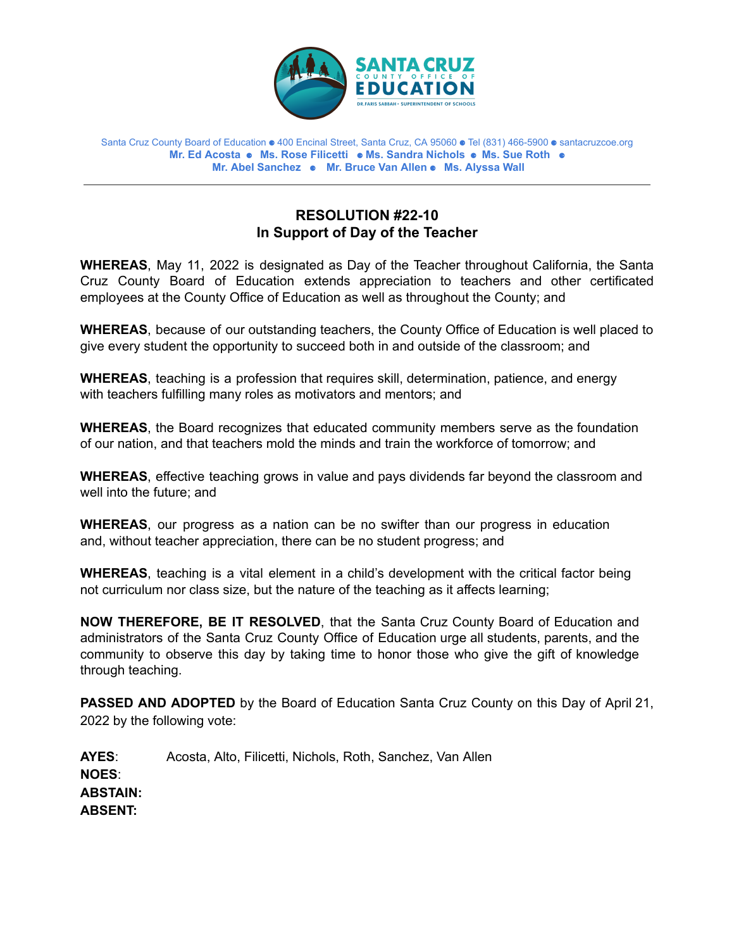

Santa Cruz County Board of Education ⚈ 400 Encinal Street, Santa Cruz, CA 95060 ⚈ Tel (831) 466-5900 ⚈ santacruzcoe.org **Mr. Ed Acosta** ⚈ **Ms. Rose Filicetti** ⚈ **Ms. Sandra Nichols** ⚈ **Ms. Sue Roth** ⚈ **Mr. Abel Sanchez** ⚈ **Mr. Bruce Van Allen** ⚈ **Ms. Alyssa Wall**

## **RESOLUTION #22-10 In Support of Day of the Teacher**

**WHEREAS**, May 11, 2022 is designated as Day of the Teacher throughout California, the Santa Cruz County Board of Education extends appreciation to teachers and other certificated employees at the County Office of Education as well as throughout the County; and

**WHEREAS**, because of our outstanding teachers, the County Office of Education is well placed to give every student the opportunity to succeed both in and outside of the classroom; and

**WHEREAS**, teaching is a profession that requires skill, determination, patience, and energy with teachers fulfilling many roles as motivators and mentors; and

**WHEREAS**, the Board recognizes that educated community members serve as the foundation of our nation, and that teachers mold the minds and train the workforce of tomorrow; and

**WHEREAS**, effective teaching grows in value and pays dividends far beyond the classroom and well into the future; and

**WHEREAS**, our progress as a nation can be no swifter than our progress in education and, without teacher appreciation, there can be no student progress; and

**WHEREAS**, teaching is a vital element in a child's development with the critical factor being not curriculum nor class size, but the nature of the teaching as it affects learning;

**NOW THEREFORE, BE IT RESOLVED**, that the Santa Cruz County Board of Education and administrators of the Santa Cruz County Office of Education urge all students, parents, and the community to observe this day by taking time to honor those who give the gift of knowledge through teaching.

**PASSED AND ADOPTED** by the Board of Education Santa Cruz County on this Day of April 21, 2022 by the following vote:

**AYES**: Acosta, Alto, Filicetti, Nichols, Roth, Sanchez, Van Allen **NOES**: **ABSTAIN: ABSENT:**